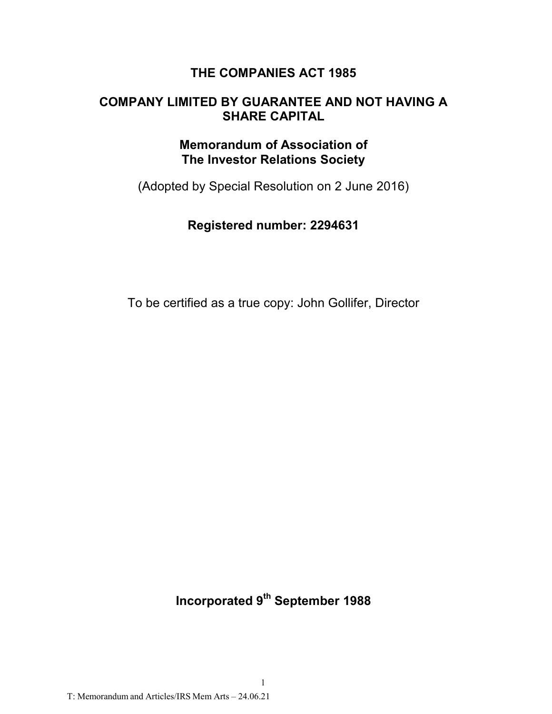# **THE COMPANIES ACT 1985**

# **COMPANY LIMITED BY GUARANTEE AND NOT HAVING A SHARE CAPITAL**

# **Memorandum of Association of The Investor Relations Society**

(Adopted by Special Resolution on 2 June 2016)

# **Registered number: 2294631**

To be certified as a true copy: John Gollifer, Director

**Incorporated 9th September 1988**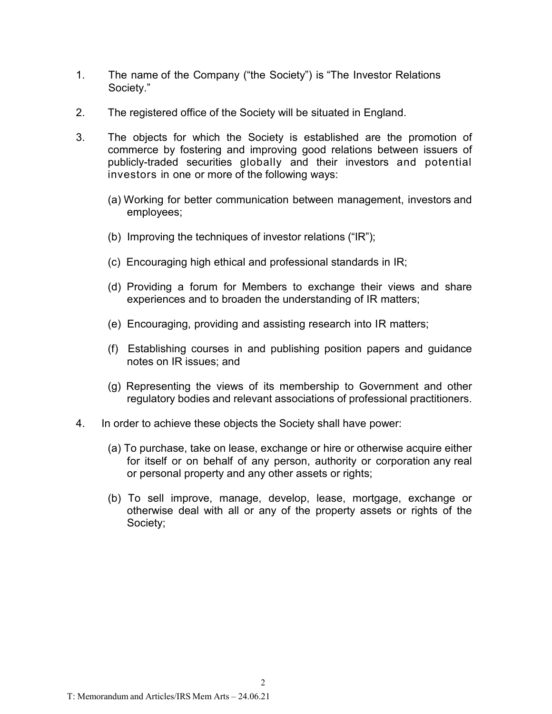- 1. The name of the Company ("the Society") is "The Investor Relations Society."
- 2. The registered office of the Society will be situated in England.
- 3. The objects for which the Society is established are the promotion of commerce by fostering and improving good relations between issuers of publicly-traded securities globally and their investors and potential investors in one or more of the following ways:
	- (a) Working for better communication between management, investors and employees;
	- (b) Improving the techniques of investor relations ("IR");
	- (c) Encouraging high ethical and professional standards in IR;
	- (d) Providing a forum for Members to exchange their views and share experiences and to broaden the understanding of IR matters;
	- (e) Encouraging, providing and assisting research into IR matters;
	- (f) Establishing courses in and publishing position papers and guidance notes on IR issues; and
	- (g) Representing the views of its membership to Government and other regulatory bodies and relevant associations of professional practitioners.
- 4. In order to achieve these objects the Society shall have power:
	- (a) To purchase, take on lease, exchange or hire or otherwise acquire either for itself or on behalf of any person, authority or corporation any real or personal property and any other assets or rights;
	- (b) To sell improve, manage, develop, lease, mortgage, exchange or otherwise deal with all or any of the property assets or rights of the Society;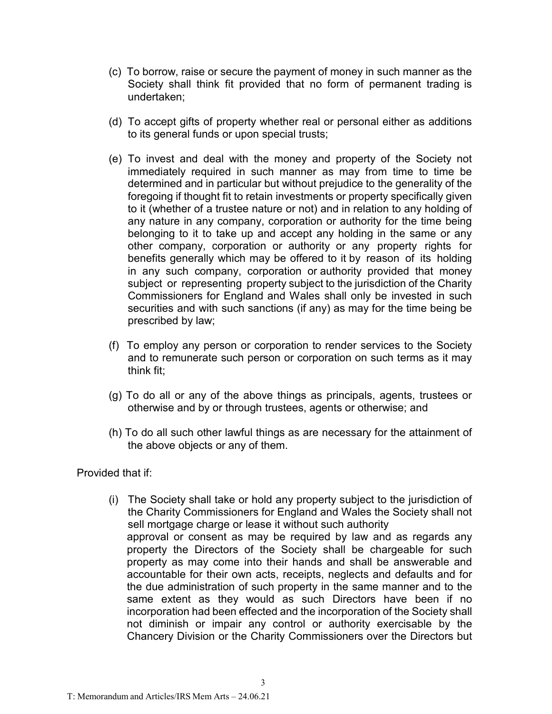- (c) To borrow, raise or secure the payment of money in such manner as the Society shall think fit provided that no form of permanent trading is undertaken;
- (d) To accept gifts of property whether real or personal either as additions to its general funds or upon special trusts;
- (e) To invest and deal with the money and property of the Society not immediately required in such manner as may from time to time be determined and in particular but without prejudice to the generality of the foregoing if thought fit to retain investments or property specifically given to it (whether of a trustee nature or not) and in relation to any holding of any nature in any company, corporation or authority for the time being belonging to it to take up and accept any holding in the same or any other company, corporation or authority or any property rights for benefits generally which may be offered to it by reason of its holding in any such company, corporation or authority provided that money subject or representing property subject to the jurisdiction of the Charity Commissioners for England and Wales shall only be invested in such securities and with such sanctions (if any) as may for the time being be prescribed by law;
- (f) To employ any person or corporation to render services to the Society and to remunerate such person or corporation on such terms as it may think fit;
- (g) To do all or any of the above things as principals, agents, trustees or otherwise and by or through trustees, agents or otherwise; and
- (h) To do all such other lawful things as are necessary for the attainment of the above objects or any of them.

Provided that if:

(i) The Society shall take or hold any property subject to the jurisdiction of the Charity Commissioners for England and Wales the Society shall not sell mortgage charge or lease it without such authority approval or consent as may be required by law and as regards any property the Directors of the Society shall be chargeable for such property as may come into their hands and shall be answerable and accountable for their own acts, receipts, neglects and defaults and for the due administration of such property in the same manner and to the same extent as they would as such Directors have been if no incorporation had been effected and the incorporation of the Society shall not diminish or impair any control or authority exercisable by the Chancery Division or the Charity Commissioners over the Directors but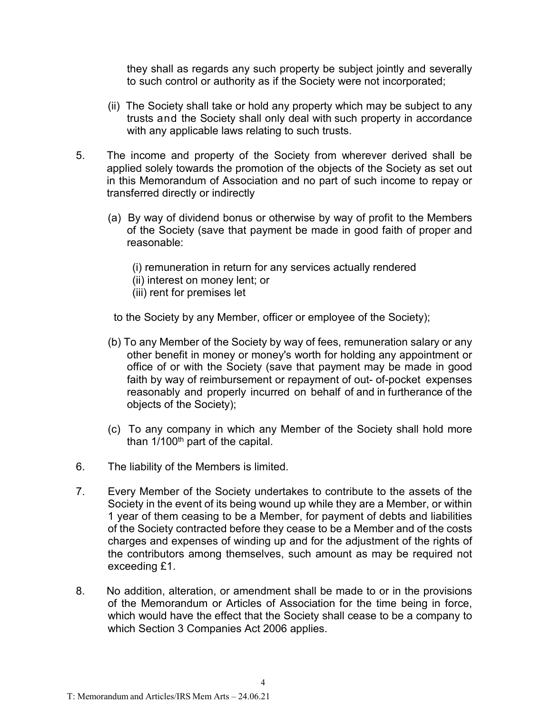they shall as regards any such property be subject jointly and severally to such control or authority as if the Society were not incorporated;

- (ii) The Society shall take or hold any property which may be subject to any trusts and the Society shall only deal with such property in accordance with any applicable laws relating to such trusts.
- 5. The income and property of the Society from wherever derived shall be applied solely towards the promotion of the objects of the Society as set out in this Memorandum of Association and no part of such income to repay or transferred directly or indirectly
	- (a) By way of dividend bonus or otherwise by way of profit to the Members of the Society (save that payment be made in good faith of proper and reasonable:
		- (i) remuneration in return for any services actually rendered
		- (ii) interest on money lent; or
		- (iii) rent for premises let

to the Society by any Member, officer or employee of the Society);

- (b) To any Member of the Society by way of fees, remuneration salary or any other benefit in money or money's worth for holding any appointment or office of or with the Society (save that payment may be made in good faith by way of reimbursement or repayment of out- of-pocket expenses reasonably and properly incurred on behalf of and in furtherance of the objects of the Society);
- (c) To any company in which any Member of the Society shall hold more than  $1/100<sup>th</sup>$  part of the capital.
- 6. The liability of the Members is limited.
- 7. Every Member of the Society undertakes to contribute to the assets of the Society in the event of its being wound up while they are a Member, or within 1 year of them ceasing to be a Member, for payment of debts and liabilities of the Society contracted before they cease to be a Member and of the costs charges and expenses of winding up and for the adjustment of the rights of the contributors among themselves, such amount as may be required not exceeding £1.
- 8. No addition, alteration, or amendment shall be made to or in the provisions of the Memorandum or Articles of Association for the time being in force, which would have the effect that the Society shall cease to be a company to which Section 3 Companies Act 2006 applies.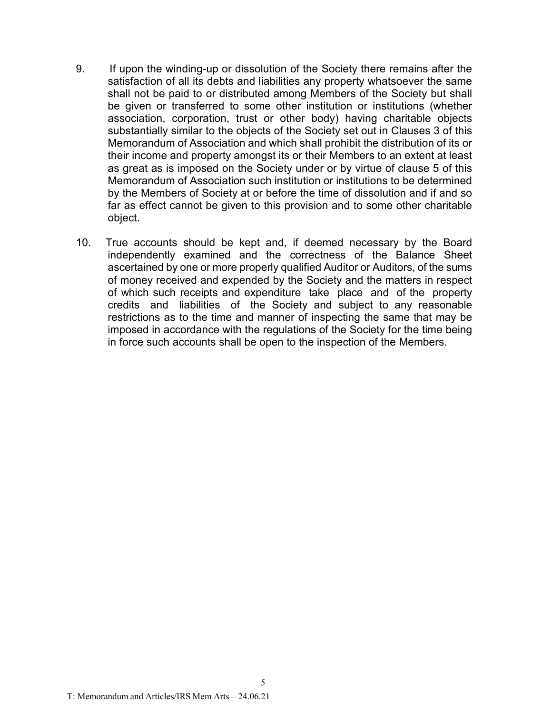- 9. If upon the winding-up or dissolution of the Society there remains after the satisfaction of all its debts and liabilities any property whatsoever the same shall not be paid to or distributed among Members of the Society but shall be given or transferred to some other institution or institutions (whether association, corporation, trust or other body) having charitable objects substantially similar to the objects of the Society set out in Clauses 3 of this Memorandum of Association and which shall prohibit the distribution of its or their income and property amongst its or their Members to an extent at least as great as is imposed on the Society under or by virtue of clause 5 of this Memorandum of Association such institution or institutions to be determined by the Members of Society at or before the time of dissolution and if and so far as effect cannot be given to this provision and to some other charitable object.
- 10. True accounts should be kept and, if deemed necessary by the Board independently examined and the correctness of the Balance Sheet ascertained by one or more properly qualified Auditor or Auditors, of the sums of money received and expended by the Society and the matters in respect of which such receipts and expenditure take place and of the property credits and liabilities of the Society and subject to any reasonable restrictions as to the time and manner of inspecting the same that may be imposed in accordance with the regulations of the Society for the time being in force such accounts shall be open to the inspection of the Members.

5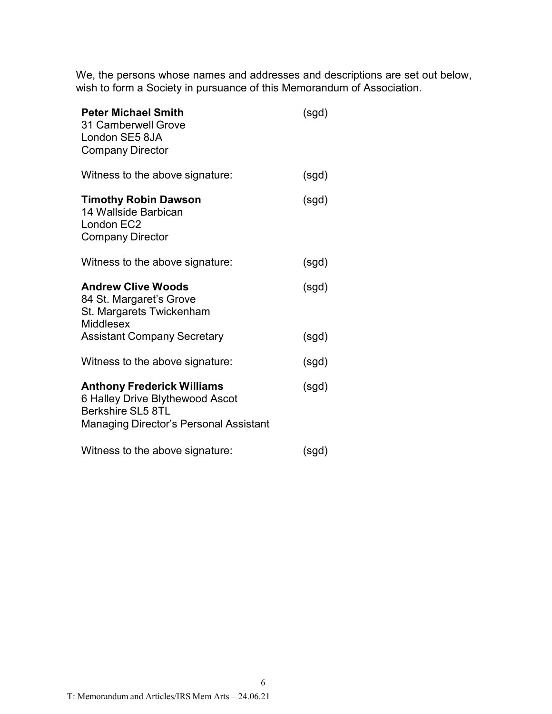We, the persons whose names and addresses and descriptions are set out below, wish to form a Society in pursuance of this Memorandum of Association.

| <b>Peter Michael Smith</b><br>31 Camberwell Grove<br>London SE5 8JA<br><b>Company Director</b>                                             | (sgd) |
|--------------------------------------------------------------------------------------------------------------------------------------------|-------|
| Witness to the above signature:                                                                                                            | (sgd) |
| <b>Timothy Robin Dawson</b><br>14 Wallside Barbican<br>London EC2<br><b>Company Director</b>                                               | (sgd) |
| Witness to the above signature:                                                                                                            | (sgd) |
| <b>Andrew Clive Woods</b><br>84 St. Margaret's Grove<br>St. Margarets Twickenham<br><b>Middlesex</b>                                       | (sgd) |
| <b>Assistant Company Secretary</b>                                                                                                         | (sgd) |
| Witness to the above signature:                                                                                                            | (sgd) |
| <b>Anthony Frederick Williams</b><br>6 Halley Drive Blythewood Ascot<br>Berkshire SL5 8TL<br><b>Managing Director's Personal Assistant</b> | (sgd) |
| Witness to the above signature:                                                                                                            | (sgd) |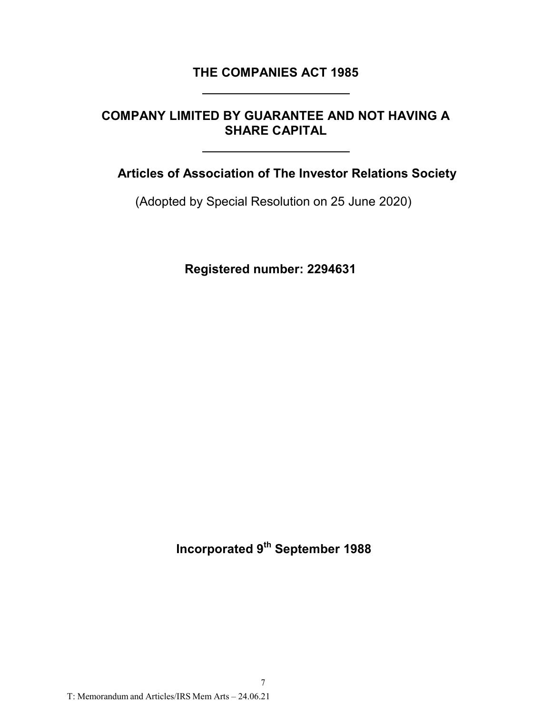## **THE COMPANIES ACT 1985**

# **COMPANY LIMITED BY GUARANTEE AND NOT HAVING A SHARE CAPITAL**

**Articles of Association of The Investor Relations Society**

(Adopted by Special Resolution on 25 June 2020)

**Registered number: 2294631**

**Incorporated 9th September 1988**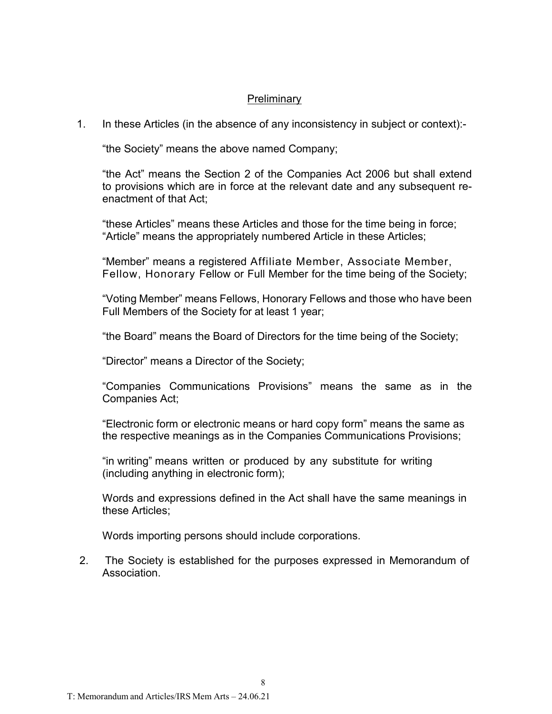### **Preliminary**

1. In these Articles (in the absence of any inconsistency in subject or context):-

"the Society" means the above named Company;

"the Act" means the Section 2 of the Companies Act 2006 but shall extend to provisions which are in force at the relevant date and any subsequent reenactment of that Act;

"these Articles" means these Articles and those for the time being in force; "Article" means the appropriately numbered Article in these Articles;

"Member" means a registered Affiliate Member, Associate Member, Fellow, Honorary Fellow or Full Member for the time being of the Society;

"Voting Member" means Fellows, Honorary Fellows and those who have been Full Members of the Society for at least 1 year;

"the Board" means the Board of Directors for the time being of the Society;

"Director" means a Director of the Society;

"Companies Communications Provisions" means the same as in the Companies Act;

"Electronic form or electronic means or hard copy form" means the same as the respective meanings as in the Companies Communications Provisions;

"in writing" means written or produced by any substitute for writing (including anything in electronic form);

Words and expressions defined in the Act shall have the same meanings in these Articles;

Words importing persons should include corporations.

2. The Society is established for the purposes expressed in Memorandum of Association.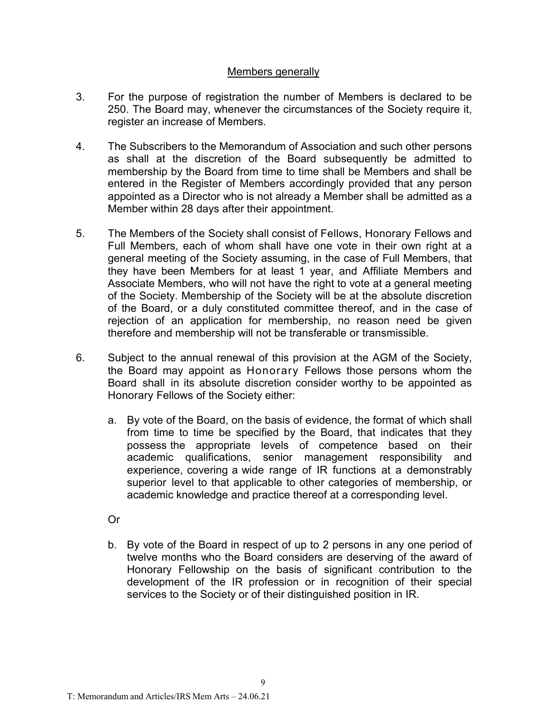### Members generally

- 3. For the purpose of registration the number of Members is declared to be 250. The Board may, whenever the circumstances of the Society require it, register an increase of Members.
- 4. The Subscribers to the Memorandum of Association and such other persons as shall at the discretion of the Board subsequently be admitted to membership by the Board from time to time shall be Members and shall be entered in the Register of Members accordingly provided that any person appointed as a Director who is not already a Member shall be admitted as a Member within 28 days after their appointment.
- 5. The Members of the Society shall consist of Fellows, Honorary Fellows and Full Members, each of whom shall have one vote in their own right at a general meeting of the Society assuming, in the case of Full Members, that they have been Members for at least 1 year, and Affiliate Members and Associate Members, who will not have the right to vote at a general meeting of the Society. Membership of the Society will be at the absolute discretion of the Board, or a duly constituted committee thereof, and in the case of rejection of an application for membership, no reason need be given therefore and membership will not be transferable or transmissible.
- 6. Subject to the annual renewal of this provision at the AGM of the Society, the Board may appoint as Honorary Fellows those persons whom the Board shall in its absolute discretion consider worthy to be appointed as Honorary Fellows of the Society either:
	- a. By vote of the Board, on the basis of evidence, the format of which shall from time to time be specified by the Board, that indicates that they possess the appropriate levels of competence based on their academic qualifications, senior management responsibility and experience, covering a wide range of IR functions at a demonstrably superior level to that applicable to other categories of membership, or academic knowledge and practice thereof at a corresponding level.

Or

b. By vote of the Board in respect of up to 2 persons in any one period of twelve months who the Board considers are deserving of the award of Honorary Fellowship on the basis of significant contribution to the development of the IR profession or in recognition of their special services to the Society or of their distinguished position in IR.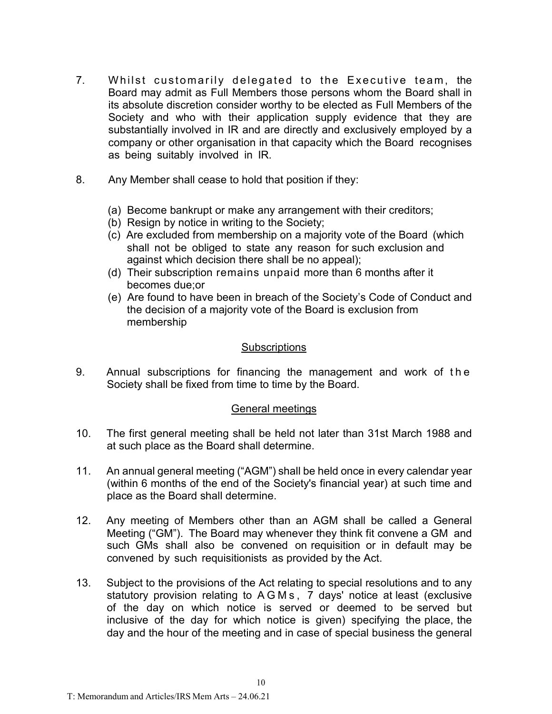- 7. Whilst customarily delegated to the Executive team, the Board may admit as Full Members those persons whom the Board shall in its absolute discretion consider worthy to be elected as Full Members of the Society and who with their application supply evidence that they are substantially involved in IR and are directly and exclusively employed by a company or other organisation in that capacity which the Board recognises as being suitably involved in IR.
- 8. Any Member shall cease to hold that position if they:
	- (a) Become bankrupt or make any arrangement with their creditors;
	- (b) Resign by notice in writing to the Society;
	- (c) Are excluded from membership on a majority vote of the Board (which shall not be obliged to state any reason for such exclusion and against which decision there shall be no appeal);
	- (d) Their subscription remains unpaid more than 6 months after it becomes due;or
	- (e) Are found to have been in breach of the Society's Code of Conduct and the decision of a majority vote of the Board is exclusion from membership

#### **Subscriptions**

9. Annual subscriptions for financing the management and work of the Society shall be fixed from time to time by the Board.

### General meetings

- 10. The first general meeting shall be held not later than 31st March 1988 and at such place as the Board shall determine.
- 11. An annual general meeting ("AGM") shall be held once in every calendar year (within 6 months of the end of the Society's financial year) at such time and place as the Board shall determine.
- 12. Any meeting of Members other than an AGM shall be called a General Meeting ("GM"). The Board may whenever they think fit convene a GM and such GMs shall also be convened on requisition or in default may be convened by such requisitionists as provided by the Act.
- 13. Subject to the provisions of the Act relating to special resolutions and to any statutory provision relating to AGMs, 7 days' notice at least (exclusive of the day on which notice is served or deemed to be served but inclusive of the day for which notice is given) specifying the place, the day and the hour of the meeting and in case of special business the general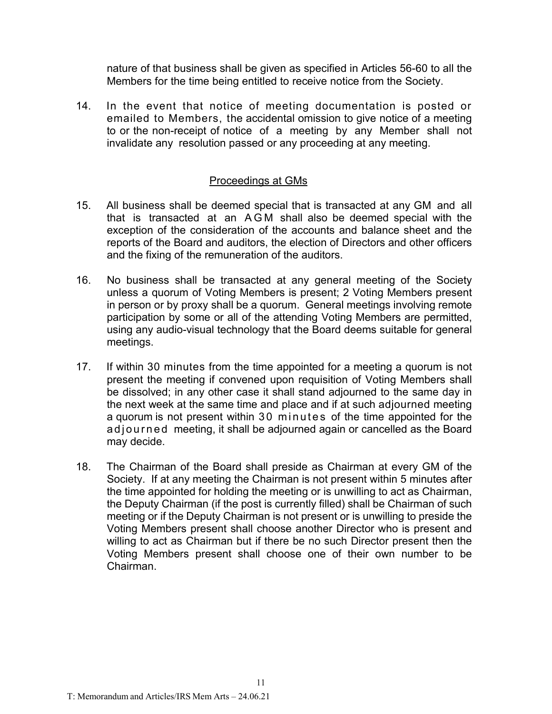nature of that business shall be given as specified in Articles 56-60 to all the Members for the time being entitled to receive notice from the Society.

14. In the event that notice of meeting documentation is posted or emailed to Members, the accidental omission to give notice of a meeting to or the non-receipt of notice of a meeting by any Member shall not invalidate any resolution passed or any proceeding at any meeting.

#### Proceedings at GMs

- 15. All business shall be deemed special that is transacted at any GM and all that is transacted at an AGM shall also be deemed special with the exception of the consideration of the accounts and balance sheet and the reports of the Board and auditors, the election of Directors and other officers and the fixing of the remuneration of the auditors.
- 16. No business shall be transacted at any general meeting of the Society unless a quorum of Voting Members is present; 2 Voting Members present in person or by proxy shall be a quorum. General meetings involving remote participation by some or all of the attending Voting Members are permitted, using any audio-visual technology that the Board deems suitable for general meetings.
- 17. If within 30 minutes from the time appointed for a meeting a quorum is not present the meeting if convened upon requisition of Voting Members shall be dissolved; in any other case it shall stand adjourned to the same day in the next week at the same time and place and if at such adjourned meeting a quorum is not present within 30 minutes of the time appointed for the adjourned meeting, it shall be adjourned again or cancelled as the Board may decide.
- 18. The Chairman of the Board shall preside as Chairman at every GM of the Society. If at any meeting the Chairman is not present within 5 minutes after the time appointed for holding the meeting or is unwilling to act as Chairman, the Deputy Chairman (if the post is currently filled) shall be Chairman of such meeting or if the Deputy Chairman is not present or is unwilling to preside the Voting Members present shall choose another Director who is present and willing to act as Chairman but if there be no such Director present then the Voting Members present shall choose one of their own number to be Chairman.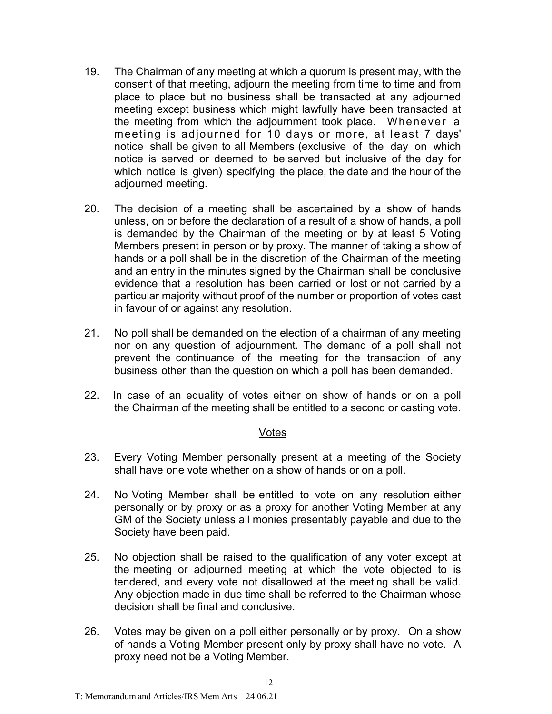- 19. The Chairman of any meeting at which a quorum is present may, with the consent of that meeting, adjourn the meeting from time to time and from place to place but no business shall be transacted at any adjourned meeting except business which might lawfully have been transacted at the meeting from which the adjournment took place. Whenever a meeting is adjourned for 10 days or more, at least 7 days' notice shall be given to all Members (exclusive of the day on which notice is served or deemed to be served but inclusive of the day for which notice is given) specifying the place, the date and the hour of the adjourned meeting.
- 20. The decision of a meeting shall be ascertained by a show of hands unless, on or before the declaration of a result of a show of hands, a poll is demanded by the Chairman of the meeting or by at least 5 Voting Members present in person or by proxy. The manner of taking a show of hands or a poll shall be in the discretion of the Chairman of the meeting and an entry in the minutes signed by the Chairman shall be conclusive evidence that a resolution has been carried or lost or not carried by a particular majority without proof of the number or proportion of votes cast in favour of or against any resolution.
- 21. No poll shall be demanded on the election of a chairman of any meeting nor on any question of adjournment. The demand of a poll shall not prevent the continuance of the meeting for the transaction of any business other than the question on which a poll has been demanded.
- 22. In case of an equality of votes either on show of hands or on a poll the Chairman of the meeting shall be entitled to a second or casting vote.

#### Votes

- 23. Every Voting Member personally present at a meeting of the Society shall have one vote whether on a show of hands or on a poll.
- 24. No Voting Member shall be entitled to vote on any resolution either personally or by proxy or as a proxy for another Voting Member at any GM of the Society unless all monies presentably payable and due to the Society have been paid.
- 25. No objection shall be raised to the qualification of any voter except at the meeting or adjourned meeting at which the vote objected to is tendered, and every vote not disallowed at the meeting shall be valid. Any objection made in due time shall be referred to the Chairman whose decision shall be final and conclusive.
- 26. Votes may be given on a poll either personally or by proxy. On a show of hands a Voting Member present only by proxy shall have no vote. A proxy need not be a Voting Member.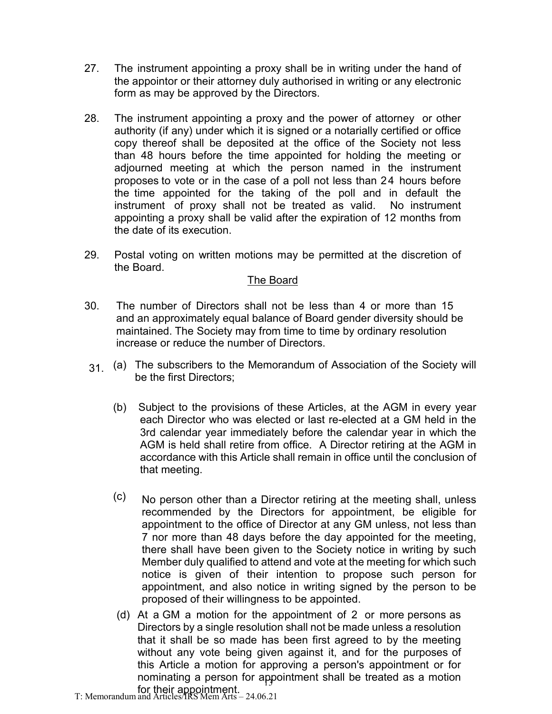- 27. The instrument appointing a proxy shall be in writing under the hand of the appointor or their attorney duly authorised in writing or any electronic form as may be approved by the Directors.
- 28. The instrument appointing a proxy and the power of attorney or other authority (if any) under which it is signed or a notarially certified or office copy thereof shall be deposited at the office of the Society not less than 48 hours before the time appointed for holding the meeting or adjourned meeting at which the person named in the instrument proposes to vote or in the case of a poll not less than 24 hours before the time appointed for the taking of the poll and in default the instrument of proxy shall not be treated as valid. No instrument appointing a proxy shall be valid after the expiration of 12 months from the date of its execution.
- 29. Postal voting on written motions may be permitted at the discretion of the Board.

### The Board

- 30. The number of Directors shall not be less than 4 or more than 15 and an approximately equal balance of Board gender diversity should be maintained. The Society may from time to time by ordinary resolution increase or reduce the number of Directors.
- 31. (a) The subscribers to the Memorandum of Association of the Society will be the first Directors;
	- (b) Subject to the provisions of these Articles, at the AGM in every year each Director who was elected or last re-elected at a GM held in the 3rd calendar year immediately before the calendar year in which the AGM is held shall retire from office. A Director retiring at the AGM in accordance with this Article shall remain in office until the conclusion of that meeting.
	- (c) No person other than a Director retiring at the meeting shall, unless recommended by the Directors for appointment, be eligible for appointment to the office of Director at any GM unless, not less than 7 nor more than 48 days before the day appointed for the meeting, there shall have been given to the Society notice in writing by such Member duly qualified to attend and vote at the meeting for which such notice is given of their intention to propose such person for appointment, and also notice in writing signed by the person to be proposed of their willingness to be appointed.
	- nominating a person for appointment shall be treated as a motion (d) At a GM a motion for the appointment of 2 or more persons as Directors by a single resolution shall not be made unless a resolution that it shall be so made has been first agreed to by the meeting without any vote being given against it, and for the purposes of this Article a motion for approving a person's appointment or for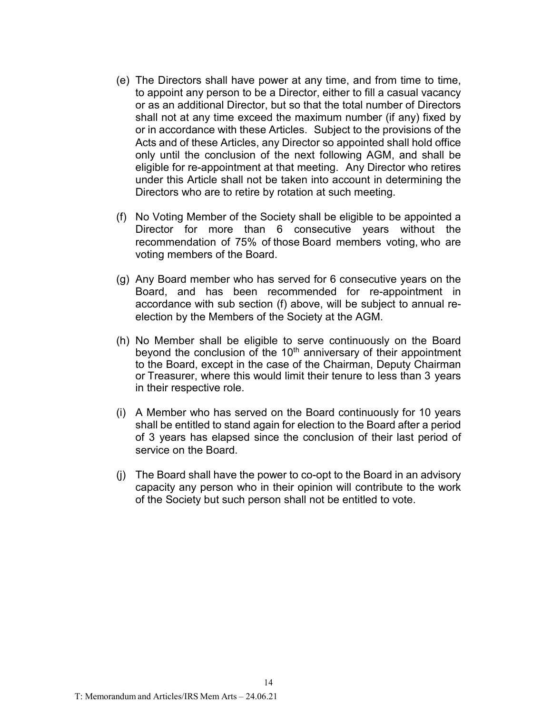- (e) The Directors shall have power at any time, and from time to time, to appoint any person to be a Director, either to fill a casual vacancy or as an additional Director, but so that the total number of Directors shall not at any time exceed the maximum number (if any) fixed by or in accordance with these Articles. Subject to the provisions of the Acts and of these Articles, any Director so appointed shall hold office only until the conclusion of the next following AGM, and shall be eligible for re-appointment at that meeting. Any Director who retires under this Article shall not be taken into account in determining the Directors who are to retire by rotation at such meeting.
- (f) No Voting Member of the Society shall be eligible to be appointed a Director for more than 6 consecutive years without the recommendation of 75% of those Board members voting, who are voting members of the Board.
- (g) Any Board member who has served for 6 consecutive years on the Board, and has been recommended for re-appointment in accordance with sub section (f) above, will be subject to annual reelection by the Members of the Society at the AGM.
- (h) No Member shall be eligible to serve continuously on the Board beyond the conclusion of the  $10<sup>th</sup>$  anniversary of their appointment to the Board, except in the case of the Chairman, Deputy Chairman or Treasurer, where this would limit their tenure to less than 3 years in their respective role.
- (i) A Member who has served on the Board continuously for 10 years shall be entitled to stand again for election to the Board after a period of 3 years has elapsed since the conclusion of their last period of service on the Board.
- (j) The Board shall have the power to co-opt to the Board in an advisory capacity any person who in their opinion will contribute to the work of the Society but such person shall not be entitled to vote.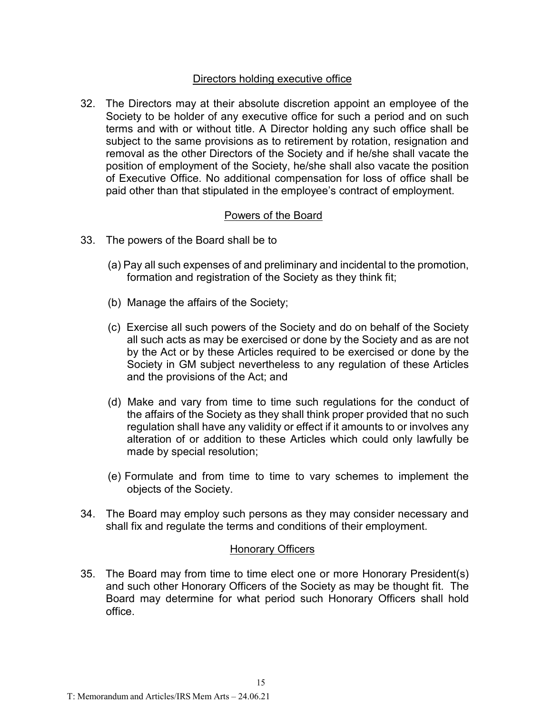## Directors holding executive office

32. The Directors may at their absolute discretion appoint an employee of the Society to be holder of any executive office for such a period and on such terms and with or without title. A Director holding any such office shall be subject to the same provisions as to retirement by rotation, resignation and removal as the other Directors of the Society and if he/she shall vacate the position of employment of the Society, he/she shall also vacate the position of Executive Office. No additional compensation for loss of office shall be paid other than that stipulated in the employee's contract of employment.

## Powers of the Board

- 33. The powers of the Board shall be to
	- (a) Pay all such expenses of and preliminary and incidental to the promotion, formation and registration of the Society as they think fit;
	- (b) Manage the affairs of the Society;
	- (c) Exercise all such powers of the Society and do on behalf of the Society all such acts as may be exercised or done by the Society and as are not by the Act or by these Articles required to be exercised or done by the Society in GM subject nevertheless to any regulation of these Articles and the provisions of the Act; and
	- (d) Make and vary from time to time such regulations for the conduct of the affairs of the Society as they shall think proper provided that no such regulation shall have any validity or effect if it amounts to or involves any alteration of or addition to these Articles which could only lawfully be made by special resolution;
	- (e) Formulate and from time to time to vary schemes to implement the objects of the Society.
- 34. The Board may employ such persons as they may consider necessary and shall fix and regulate the terms and conditions of their employment.

### Honorary Officers

35. The Board may from time to time elect one or more Honorary President(s) and such other Honorary Officers of the Society as may be thought fit. The Board may determine for what period such Honorary Officers shall hold office.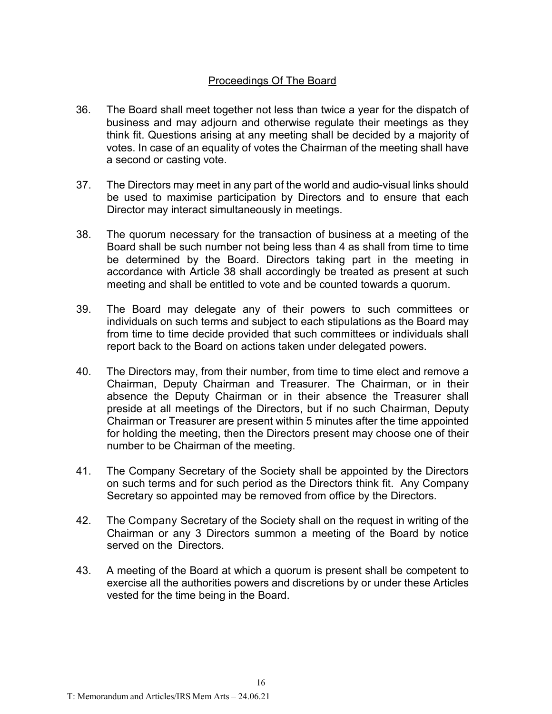## Proceedings Of The Board

- 36. The Board shall meet together not less than twice a year for the dispatch of business and may adjourn and otherwise regulate their meetings as they think fit. Questions arising at any meeting shall be decided by a majority of votes. In case of an equality of votes the Chairman of the meeting shall have a second or casting vote.
- 37. The Directors may meet in any part of the world and audio-visual links should be used to maximise participation by Directors and to ensure that each Director may interact simultaneously in meetings.
- 38. The quorum necessary for the transaction of business at a meeting of the Board shall be such number not being less than 4 as shall from time to time be determined by the Board. Directors taking part in the meeting in accordance with Article 38 shall accordingly be treated as present at such meeting and shall be entitled to vote and be counted towards a quorum.
- 39. The Board may delegate any of their powers to such committees or individuals on such terms and subject to each stipulations as the Board may from time to time decide provided that such committees or individuals shall report back to the Board on actions taken under delegated powers.
- 40. The Directors may, from their number, from time to time elect and remove a Chairman, Deputy Chairman and Treasurer. The Chairman, or in their absence the Deputy Chairman or in their absence the Treasurer shall preside at all meetings of the Directors, but if no such Chairman, Deputy Chairman or Treasurer are present within 5 minutes after the time appointed for holding the meeting, then the Directors present may choose one of their number to be Chairman of the meeting.
- 41. The Company Secretary of the Society shall be appointed by the Directors on such terms and for such period as the Directors think fit. Any Company Secretary so appointed may be removed from office by the Directors.
- 42. The Company Secretary of the Society shall on the request in writing of the Chairman or any 3 Directors summon a meeting of the Board by notice served on the Directors.
- 43. A meeting of the Board at which a quorum is present shall be competent to exercise all the authorities powers and discretions by or under these Articles vested for the time being in the Board.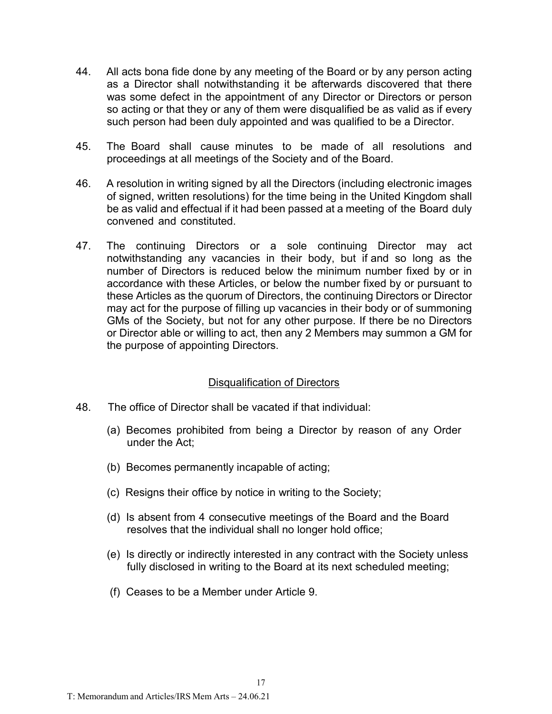- 44. All acts bona fide done by any meeting of the Board or by any person acting as a Director shall notwithstanding it be afterwards discovered that there was some defect in the appointment of any Director or Directors or person so acting or that they or any of them were disqualified be as valid as if every such person had been duly appointed and was qualified to be a Director.
- 45. The Board shall cause minutes to be made of all resolutions and proceedings at all meetings of the Society and of the Board.
- 46. A resolution in writing signed by all the Directors (including electronic images of signed, written resolutions) for the time being in the United Kingdom shall be as valid and effectual if it had been passed at a meeting of the Board duly convened and constituted.
- 47. The continuing Directors or a sole continuing Director may act notwithstanding any vacancies in their body, but if and so long as the number of Directors is reduced below the minimum number fixed by or in accordance with these Articles, or below the number fixed by or pursuant to these Articles as the quorum of Directors, the continuing Directors or Director may act for the purpose of filling up vacancies in their body or of summoning GMs of the Society, but not for any other purpose. If there be no Directors or Director able or willing to act, then any 2 Members may summon a GM for the purpose of appointing Directors.

### Disqualification of Directors

- 48. The office of Director shall be vacated if that individual:
	- (a) Becomes prohibited from being a Director by reason of any Order under the Act;
	- (b) Becomes permanently incapable of acting;
	- (c) Resigns their office by notice in writing to the Society;
	- (d) Is absent from 4 consecutive meetings of the Board and the Board resolves that the individual shall no longer hold office;
	- (e) Is directly or indirectly interested in any contract with the Society unless fully disclosed in writing to the Board at its next scheduled meeting;
	- (f) Ceases to be a Member under Article 9.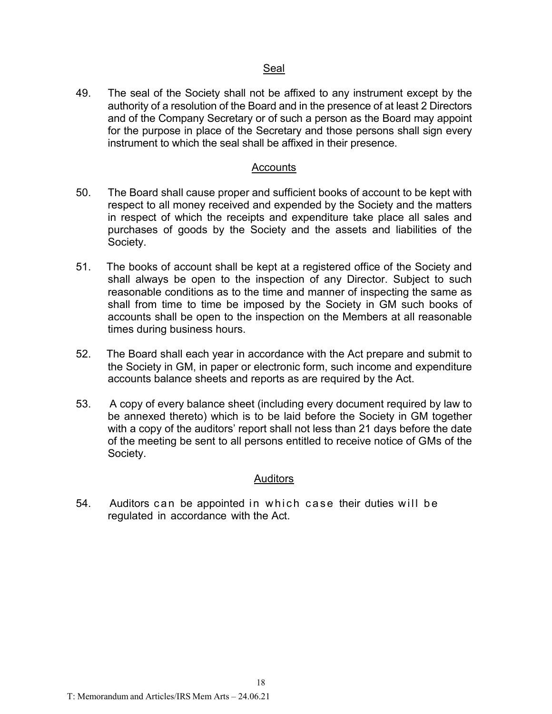#### Seal

49. The seal of the Society shall not be affixed to any instrument except by the authority of a resolution of the Board and in the presence of at least 2 Directors and of the Company Secretary or of such a person as the Board may appoint for the purpose in place of the Secretary and those persons shall sign every instrument to which the seal shall be affixed in their presence.

#### Accounts

- 50. The Board shall cause proper and sufficient books of account to be kept with respect to all money received and expended by the Society and the matters in respect of which the receipts and expenditure take place all sales and purchases of goods by the Society and the assets and liabilities of the Society.
- 51. The books of account shall be kept at a registered office of the Society and shall always be open to the inspection of any Director. Subject to such reasonable conditions as to the time and manner of inspecting the same as shall from time to time be imposed by the Society in GM such books of accounts shall be open to the inspection on the Members at all reasonable times during business hours.
- 52. The Board shall each year in accordance with the Act prepare and submit to the Society in GM, in paper or electronic form, such income and expenditure accounts balance sheets and reports as are required by the Act.
- 53. A copy of every balance sheet (including every document required by law to be annexed thereto) which is to be laid before the Society in GM together with a copy of the auditors' report shall not less than 21 days before the date of the meeting be sent to all persons entitled to receive notice of GMs of the Society.

#### **Auditors**

54. Auditors can be appointed in which case their duties will be regulated in accordance with the Act.